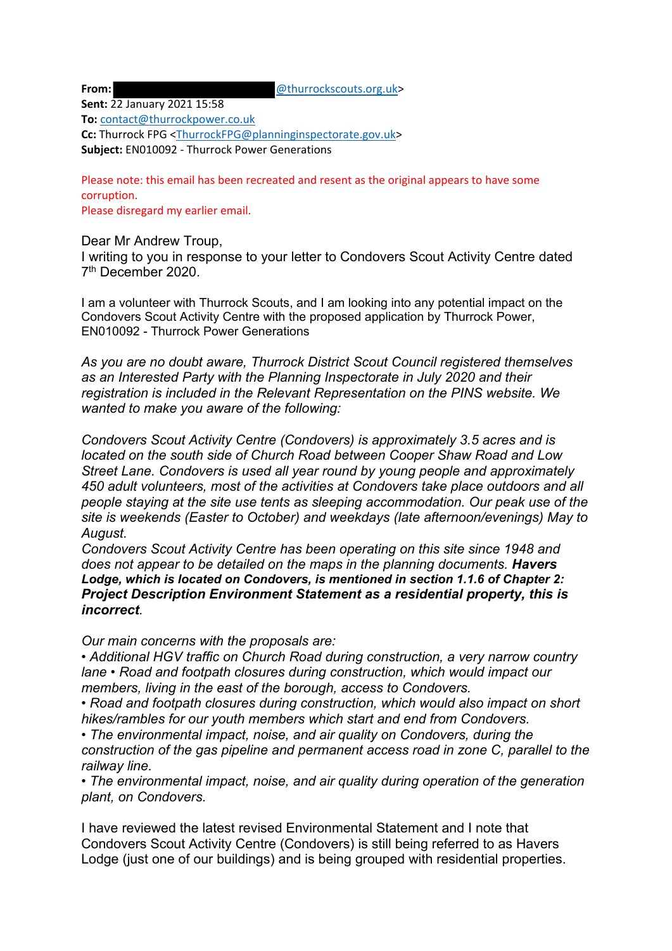**From:**  $@$ thurrockscouts.org.uk>

**Sent:** 22 January 2021 15:58

**To:** contact@thurrockpower.co.uk

**Cc:** Thurrock FPG <ThurrockFPG@planninginspectorate.gov.uk> **Subject:** EN010092 - Thurrock Power Generations

Please note: this email has been recreated and resent as the original appears to have some corruption.

Please disregard my earlier email.

Dear Mr Andrew Troup,

I writing to you in response to your letter to Condovers Scout Activity Centre dated 7th December 2020.

I am a volunteer with Thurrock Scouts, and I am looking into any potential impact on the Condovers Scout Activity Centre with the proposed application by Thurrock Power, EN010092 - Thurrock Power Generations

*As you are no doubt aware, Thurrock District Scout Council registered themselves as an Interested Party with the Planning Inspectorate in July 2020 and their registration is included in the Relevant Representation on the PINS website. We wanted to make you aware of the following:* 

*Condovers Scout Activity Centre (Condovers) is approximately 3.5 acres and is located on the south side of Church Road between Cooper Shaw Road and Low Street Lane. Condovers is used all year round by young people and approximately 450 adult volunteers, most of the activities at Condovers take place outdoors and all people staying at the site use tents as sleeping accommodation. Our peak use of the site is weekends (Easter to October) and weekdays (late afternoon/evenings) May to August.* 

*Condovers Scout Activity Centre has been operating on this site since 1948 and does not appear to be detailed on the maps in the planning documents. Havers Lodge, which is located on Condovers, is mentioned in section 1.1.6 of Chapter 2: Project Description Environment Statement as a residential property, this is incorrect.* 

*Our main concerns with the proposals are:* 

*• Additional HGV traffic on Church Road during construction, a very narrow country lane • Road and footpath closures during construction, which would impact our members, living in the east of the borough, access to Condovers.*

*• Road and footpath closures during construction, which would also impact on short hikes/rambles for our youth members which start and end from Condovers.*

*• The environmental impact, noise, and air quality on Condovers, during the construction of the gas pipeline and permanent access road in zone C, parallel to the railway line.*

*• The environmental impact, noise, and air quality during operation of the generation plant, on Condovers.*

I have reviewed the latest revised Environmental Statement and I note that Condovers Scout Activity Centre (Condovers) is still being referred to as Havers Lodge (just one of our buildings) and is being grouped with residential properties.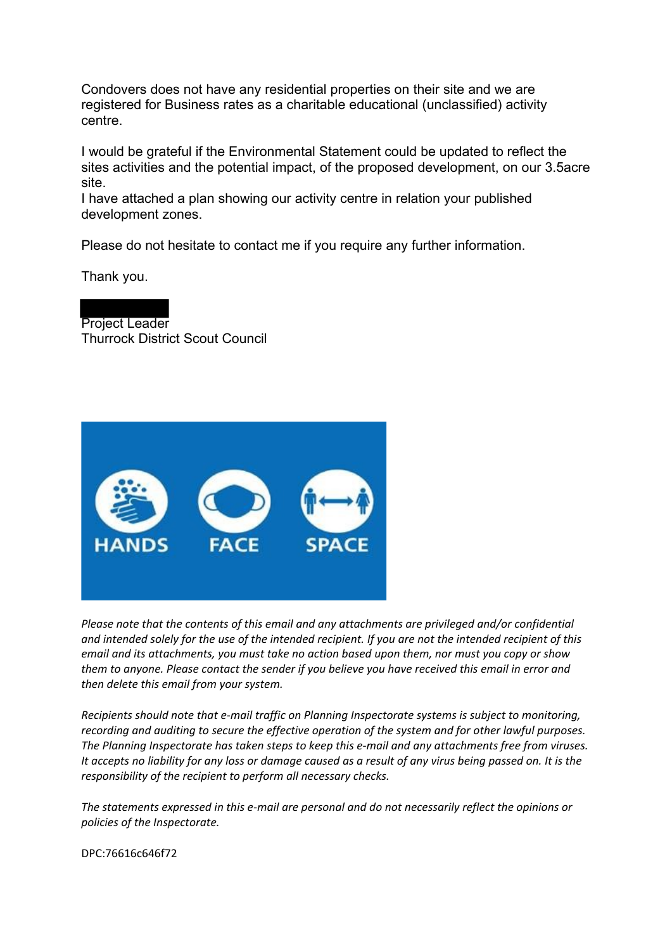Condovers does not have any residential properties on their site and we are registered for Business rates as a charitable educational (unclassified) activity centre.

I would be grateful if the Environmental Statement could be updated to reflect the sites activities and the potential impact, of the proposed development, on our 3.5acre site.

I have attached a plan showing our activity centre in relation your published development zones.

Please do not hesitate to contact me if you require any further information.

Thank you.

Project Leader Thurrock District Scout Council



*Please note that the contents of this email and any attachments are privileged and/or confidential and intended solely for the use of the intended recipient. If you are not the intended recipient of this email and its attachments, you must take no action based upon them, nor must you copy or show them to anyone. Please contact the sender if you believe you have received this email in error and then delete this email from your system.*

*Recipients should note that e-mail traffic on Planning Inspectorate systems is subject to monitoring, recording and auditing to secure the effective operation of the system and for other lawful purposes. The Planning Inspectorate has taken steps to keep this e-mail and any attachments free from viruses. It accepts no liability for any loss or damage caused as a result of any virus being passed on. It is the responsibility of the recipient to perform all necessary checks.*

*The statements expressed in this e-mail are personal and do not necessarily reflect the opinions or policies of the Inspectorate.*

DPC:76616c646f72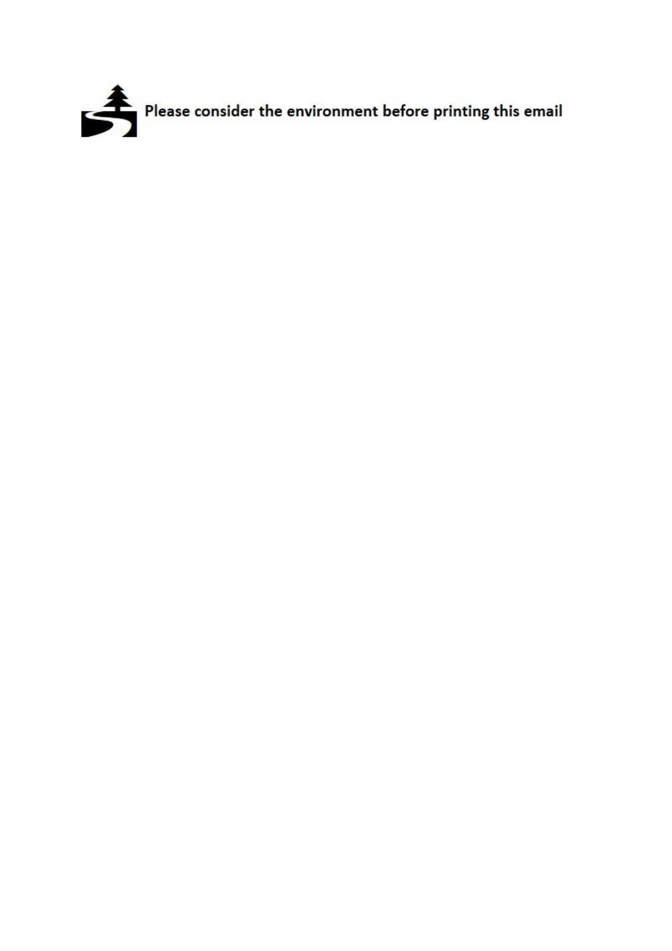